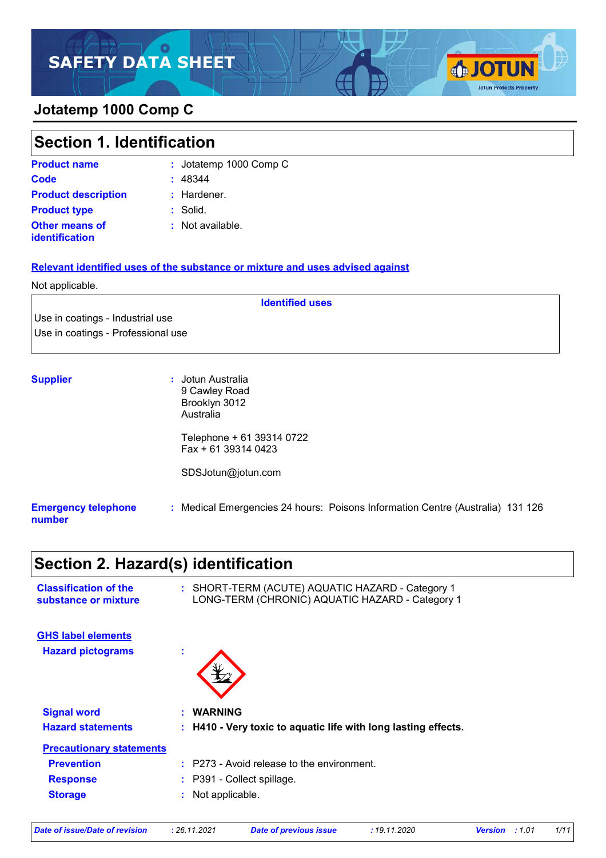## **Jotatemp 1000 Comp C**

| <b>Section 1. Identification</b>        |                        |
|-----------------------------------------|------------------------|
| <b>Product name</b>                     | : Jotatemp 1000 Comp C |
| <b>Code</b>                             | : 48344                |
| <b>Product description</b>              | $:$ Hardener.          |
| <b>Product type</b>                     | : Solid.               |
| <b>Other means of</b><br>identification | : Not available.       |

**SOTUN** 

**Jotun Protects Property** 

**Identified uses**

#### **Relevant identified uses of the substance or mixture and uses advised against**

#### Not applicable.

Use in coatings - Industrial use Use in coatings - Professional use

| <b>Supplier</b>                      | : Jotun Australia<br>9 Cawley Road<br>Brooklyn 3012<br>Australia               |
|--------------------------------------|--------------------------------------------------------------------------------|
|                                      | Telephone + 61 39314 0722<br>$Fax + 61 39314 0423$                             |
|                                      | SDSJotun@jotun.com                                                             |
| <b>Emergency telephone</b><br>number | : Medical Emergencies 24 hours: Poisons Information Centre (Australia) 131 126 |

# **Section 2. Hazard(s) identification**

| <b>Classification of the</b><br>substance or mixture |   | : SHORT-TERM (ACUTE) AQUATIC HAZARD - Category 1<br>LONG-TERM (CHRONIC) AQUATIC HAZARD - Category 1 |  |  |
|------------------------------------------------------|---|-----------------------------------------------------------------------------------------------------|--|--|
| <b>GHS label elements</b>                            |   |                                                                                                     |  |  |
| <b>Hazard pictograms</b>                             | ÷ |                                                                                                     |  |  |
| <b>Signal word</b>                                   |   | : WARNING                                                                                           |  |  |
| <b>Hazard statements</b>                             |   | : H410 - Very toxic to aquatic life with long lasting effects.                                      |  |  |
| <b>Precautionary statements</b>                      |   |                                                                                                     |  |  |
| <b>Prevention</b>                                    |   | $:$ P273 - Avoid release to the environment.                                                        |  |  |
| <b>Response</b>                                      |   | $:$ P391 - Collect spillage.                                                                        |  |  |
| <b>Storage</b>                                       |   | : Not applicable.                                                                                   |  |  |

| Date of issue/Date of revision | : 26.11.2021 | <b>Date of previous issue</b> | : 19.11.2020 | <b>Version</b> : 1.01 | 1/11 |
|--------------------------------|--------------|-------------------------------|--------------|-----------------------|------|
|                                |              |                               |              |                       |      |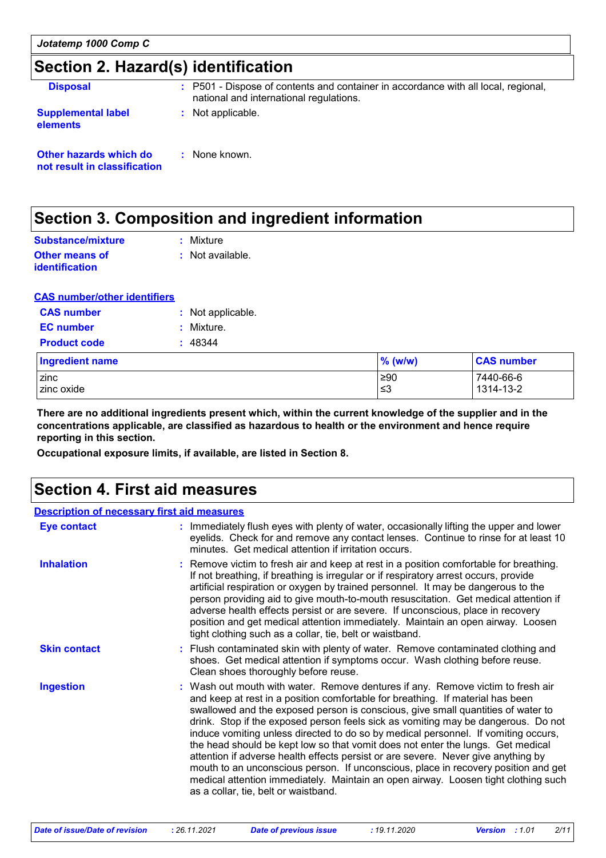# **Section 2. Hazard(s) identification**

| <b>Disposal</b>                                        | : P501 - Dispose of contents and container in accordance with all local, regional,<br>national and international regulations. |
|--------------------------------------------------------|-------------------------------------------------------------------------------------------------------------------------------|
| <b>Supplemental label</b><br><b>elements</b>           | : Not applicable.                                                                                                             |
| Other hazards which do<br>not result in classification | : None known.                                                                                                                 |

### **Section 3. Composition and ingredient information**

| Substance/mixture                | : Mixture        |
|----------------------------------|------------------|
| Other means of<br>identification | : Not available. |

#### **CAS number/other identifiers**

| <b>CAS number</b>      | : Not applicable. |
|------------------------|-------------------|
| <b>EC</b> number       | : Mixture.        |
| <b>Product code</b>    | : 48344           |
| <b>Ingredient name</b> |                   |
| zinc<br>$\frac{1}{2}$  |                   |

zinc ≥90 7440-66-6 zinc oxide  $\vert$  ≤3  $\vert$  1314-13-2  $\vert$  1314-13-2  $\vert$ **CAS number % (w/w)**

**There are no additional ingredients present which, within the current knowledge of the supplier and in the concentrations applicable, are classified as hazardous to health or the environment and hence require reporting in this section.**

**Occupational exposure limits, if available, are listed in Section 8.**

## **Section 4. First aid measures**

| <b>Description of necessary first aid measures</b> |                                                                                                                                                                                                                                                                                                                                                                                                                                                                                                                                                                                                                                                                                                                                                                                                                              |
|----------------------------------------------------|------------------------------------------------------------------------------------------------------------------------------------------------------------------------------------------------------------------------------------------------------------------------------------------------------------------------------------------------------------------------------------------------------------------------------------------------------------------------------------------------------------------------------------------------------------------------------------------------------------------------------------------------------------------------------------------------------------------------------------------------------------------------------------------------------------------------------|
| <b>Eye contact</b>                                 | : Immediately flush eyes with plenty of water, occasionally lifting the upper and lower<br>eyelids. Check for and remove any contact lenses. Continue to rinse for at least 10<br>minutes. Get medical attention if irritation occurs.                                                                                                                                                                                                                                                                                                                                                                                                                                                                                                                                                                                       |
| <b>Inhalation</b>                                  | : Remove victim to fresh air and keep at rest in a position comfortable for breathing.<br>If not breathing, if breathing is irregular or if respiratory arrest occurs, provide<br>artificial respiration or oxygen by trained personnel. It may be dangerous to the<br>person providing aid to give mouth-to-mouth resuscitation. Get medical attention if<br>adverse health effects persist or are severe. If unconscious, place in recovery<br>position and get medical attention immediately. Maintain an open airway. Loosen<br>tight clothing such as a collar, tie, belt or waistband.                                                                                                                                                                                                                                 |
| <b>Skin contact</b>                                | : Flush contaminated skin with plenty of water. Remove contaminated clothing and<br>shoes. Get medical attention if symptoms occur. Wash clothing before reuse.<br>Clean shoes thoroughly before reuse.                                                                                                                                                                                                                                                                                                                                                                                                                                                                                                                                                                                                                      |
| <b>Ingestion</b>                                   | : Wash out mouth with water. Remove dentures if any. Remove victim to fresh air<br>and keep at rest in a position comfortable for breathing. If material has been<br>swallowed and the exposed person is conscious, give small quantities of water to<br>drink. Stop if the exposed person feels sick as vomiting may be dangerous. Do not<br>induce vomiting unless directed to do so by medical personnel. If vomiting occurs,<br>the head should be kept low so that vomit does not enter the lungs. Get medical<br>attention if adverse health effects persist or are severe. Never give anything by<br>mouth to an unconscious person. If unconscious, place in recovery position and get<br>medical attention immediately. Maintain an open airway. Loosen tight clothing such<br>as a collar, tie, belt or waistband. |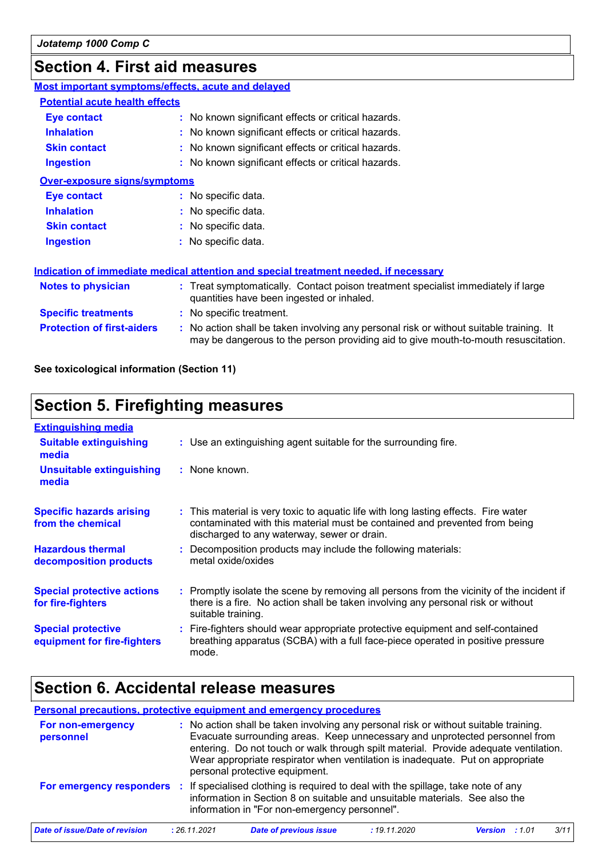# **Section 4. First aid measures**

| <b>Most important symptoms/effects, acute and delayed</b> |                                                                                                                                                                               |
|-----------------------------------------------------------|-------------------------------------------------------------------------------------------------------------------------------------------------------------------------------|
| <b>Potential acute health effects</b>                     |                                                                                                                                                                               |
| Eye contact                                               | : No known significant effects or critical hazards.                                                                                                                           |
| <b>Inhalation</b>                                         | : No known significant effects or critical hazards.                                                                                                                           |
| <b>Skin contact</b>                                       | : No known significant effects or critical hazards.                                                                                                                           |
| <b>Ingestion</b>                                          | : No known significant effects or critical hazards.                                                                                                                           |
| <b>Over-exposure signs/symptoms</b>                       |                                                                                                                                                                               |
| Eye contact                                               | : No specific data.                                                                                                                                                           |
| <b>Inhalation</b>                                         | : No specific data.                                                                                                                                                           |
| <b>Skin contact</b>                                       | : No specific data.                                                                                                                                                           |
| <b>Ingestion</b>                                          | : No specific data.                                                                                                                                                           |
|                                                           | Indication of immediate medical attention and special treatment needed, if necessary                                                                                          |
| <b>Notes to physician</b>                                 | : Treat symptomatically. Contact poison treatment specialist immediately if large<br>quantities have been ingested or inhaled.                                                |
| <b>Specific treatments</b>                                | : No specific treatment.                                                                                                                                                      |
| <b>Protection of first-aiders</b>                         | : No action shall be taken involving any personal risk or without suitable training. It<br>may be dangerous to the person providing aid to give mouth-to-mouth resuscitation. |

**See toxicological information (Section 11)**

# **Section 5. Firefighting measures**

| <b>Extinguishing media</b>                               |                                                                                                                                                                                                                  |
|----------------------------------------------------------|------------------------------------------------------------------------------------------------------------------------------------------------------------------------------------------------------------------|
| <b>Suitable extinguishing</b><br>media                   | : Use an extinguishing agent suitable for the surrounding fire.                                                                                                                                                  |
| <b>Unsuitable extinguishing</b><br>media                 | : None known.                                                                                                                                                                                                    |
| <b>Specific hazards arising</b><br>from the chemical     | : This material is very toxic to aquatic life with long lasting effects. Fire water<br>contaminated with this material must be contained and prevented from being<br>discharged to any waterway, sewer or drain. |
| <b>Hazardous thermal</b><br>decomposition products       | : Decomposition products may include the following materials:<br>metal oxide/oxides                                                                                                                              |
| <b>Special protective actions</b><br>for fire-fighters   | : Promptly isolate the scene by removing all persons from the vicinity of the incident if<br>there is a fire. No action shall be taken involving any personal risk or without<br>suitable training.              |
| <b>Special protective</b><br>equipment for fire-fighters | : Fire-fighters should wear appropriate protective equipment and self-contained<br>breathing apparatus (SCBA) with a full face-piece operated in positive pressure<br>mode.                                      |

### **Section 6. Accidental release measures**

### **Personal precautions, protective equipment and emergency procedures**

| For non-emergency<br>personnel | : No action shall be taken involving any personal risk or without suitable training.<br>Evacuate surrounding areas. Keep unnecessary and unprotected personnel from<br>entering. Do not touch or walk through spilt material. Provide adequate ventilation.<br>Wear appropriate respirator when ventilation is inadequate. Put on appropriate<br>personal protective equipment. |
|--------------------------------|---------------------------------------------------------------------------------------------------------------------------------------------------------------------------------------------------------------------------------------------------------------------------------------------------------------------------------------------------------------------------------|
| For emergency responders       | : If specialised clothing is required to deal with the spillage, take note of any<br>information in Section 8 on suitable and unsuitable materials. See also the<br>information in "For non-emergency personnel".                                                                                                                                                               |

| Date of issue/Date of revision | : 26.11.2021 | Date of previous issue | : 19.11.2020 | <b>Version</b> : 1.01 | 3/11 |
|--------------------------------|--------------|------------------------|--------------|-----------------------|------|
|--------------------------------|--------------|------------------------|--------------|-----------------------|------|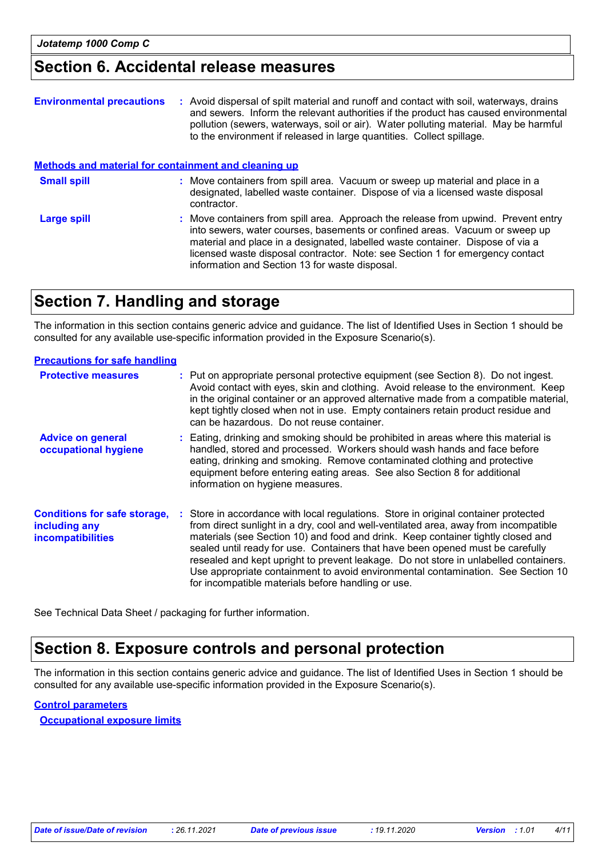### **Section 6. Accidental release measures**

| <b>Environmental precautions</b>                            | : Avoid dispersal of spilt material and runoff and contact with soil, waterways, drains<br>and sewers. Inform the relevant authorities if the product has caused environmental<br>pollution (sewers, waterways, soil or air). Water polluting material. May be harmful<br>to the environment if released in large quantities. Collect spillage.                                        |
|-------------------------------------------------------------|----------------------------------------------------------------------------------------------------------------------------------------------------------------------------------------------------------------------------------------------------------------------------------------------------------------------------------------------------------------------------------------|
| <b>Methods and material for containment and cleaning up</b> |                                                                                                                                                                                                                                                                                                                                                                                        |
| <b>Small spill</b>                                          | : Move containers from spill area. Vacuum or sweep up material and place in a<br>designated, labelled waste container. Dispose of via a licensed waste disposal<br>contractor.                                                                                                                                                                                                         |
| <b>Large spill</b>                                          | : Move containers from spill area. Approach the release from upwind. Prevent entry<br>into sewers, water courses, basements or confined areas. Vacuum or sweep up<br>material and place in a designated, labelled waste container. Dispose of via a<br>licensed waste disposal contractor. Note: see Section 1 for emergency contact<br>information and Section 13 for waste disposal. |

## **Section 7. Handling and storage**

The information in this section contains generic advice and guidance. The list of Identified Uses in Section 1 should be consulted for any available use-specific information provided in the Exposure Scenario(s).

#### **Precautions for safe handling**

| <b>Protective measures</b>                                                       | : Put on appropriate personal protective equipment (see Section 8). Do not ingest.<br>Avoid contact with eyes, skin and clothing. Avoid release to the environment. Keep<br>in the original container or an approved alternative made from a compatible material,<br>kept tightly closed when not in use. Empty containers retain product residue and<br>can be hazardous. Do not reuse container.                                                                                                                                                                                  |
|----------------------------------------------------------------------------------|-------------------------------------------------------------------------------------------------------------------------------------------------------------------------------------------------------------------------------------------------------------------------------------------------------------------------------------------------------------------------------------------------------------------------------------------------------------------------------------------------------------------------------------------------------------------------------------|
| <b>Advice on general</b><br>occupational hygiene                                 | : Eating, drinking and smoking should be prohibited in areas where this material is<br>handled, stored and processed. Workers should wash hands and face before<br>eating, drinking and smoking. Remove contaminated clothing and protective<br>equipment before entering eating areas. See also Section 8 for additional<br>information on hygiene measures.                                                                                                                                                                                                                       |
| <b>Conditions for safe storage,</b><br>including any<br><b>incompatibilities</b> | : Store in accordance with local regulations. Store in original container protected<br>from direct sunlight in a dry, cool and well-ventilated area, away from incompatible<br>materials (see Section 10) and food and drink. Keep container tightly closed and<br>sealed until ready for use. Containers that have been opened must be carefully<br>resealed and kept upright to prevent leakage. Do not store in unlabelled containers.<br>Use appropriate containment to avoid environmental contamination. See Section 10<br>for incompatible materials before handling or use. |

See Technical Data Sheet / packaging for further information.

# **Section 8. Exposure controls and personal protection**

The information in this section contains generic advice and guidance. The list of Identified Uses in Section 1 should be consulted for any available use-specific information provided in the Exposure Scenario(s).

### **Control parameters**

**Occupational exposure limits**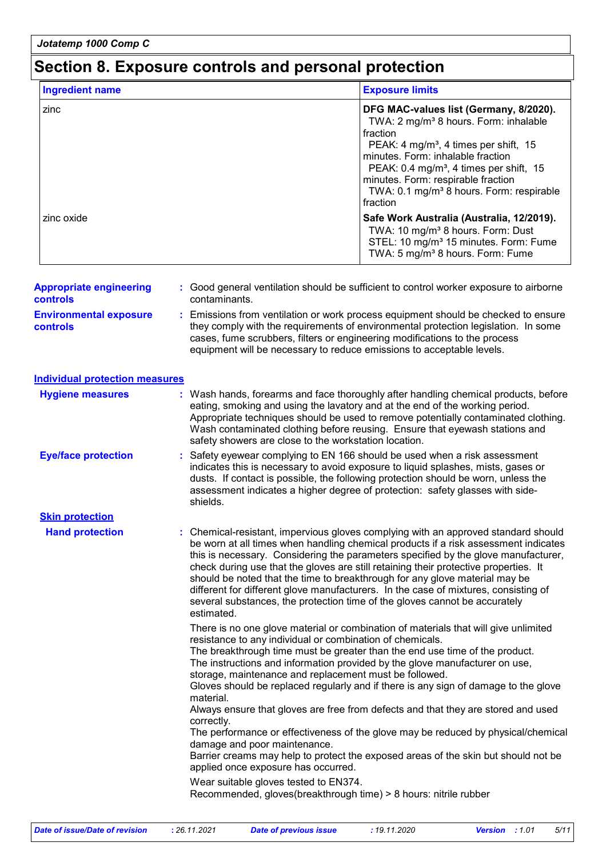### **Section 8. Exposure controls and personal protection**

| <b>Ingredient name</b> | <b>Exposure limits</b>                                                                                                                                                                                                                                                                                                                                            |
|------------------------|-------------------------------------------------------------------------------------------------------------------------------------------------------------------------------------------------------------------------------------------------------------------------------------------------------------------------------------------------------------------|
| zinc                   | DFG MAC-values list (Germany, 8/2020).<br>TWA: 2 mg/m <sup>3</sup> 8 hours. Form: inhalable<br>fraction<br>PEAK: 4 mg/m <sup>3</sup> , 4 times per shift, 15<br>minutes. Form: inhalable fraction<br>PEAK: $0.4 \text{ mg/m}^3$ , 4 times per shift, 15<br>minutes. Form: respirable fraction<br>TWA: 0.1 mg/m <sup>3</sup> 8 hours. Form: respirable<br>fraction |
| zinc oxide             | Safe Work Australia (Australia, 12/2019).<br>TWA: 10 mg/m <sup>3</sup> 8 hours. Form: Dust<br>STEL: 10 mg/m <sup>3</sup> 15 minutes. Form: Fume<br>TWA: 5 mg/m <sup>3</sup> 8 hours. Form: Fume                                                                                                                                                                   |

| $\frac{1}{2}$ is propriated on spins of this | . Ocean general remaindirem bilogia de campionit to common nomici chipocale to allochile                                                                                                                                                                                                                                        |
|----------------------------------------------|---------------------------------------------------------------------------------------------------------------------------------------------------------------------------------------------------------------------------------------------------------------------------------------------------------------------------------|
| controls                                     | contaminants.                                                                                                                                                                                                                                                                                                                   |
| <b>Environmental exposure</b><br>controls    | : Emissions from ventilation or work process equipment should be checked to ensure<br>they comply with the requirements of environmental protection legislation. In some<br>cases, fume scrubbers, filters or engineering modifications to the process<br>equipment will be necessary to reduce emissions to acceptable levels. |

| Individual protection measures |
|--------------------------------|
|--------------------------------|

| <b>Hygiene measures</b>    | : Wash hands, forearms and face thoroughly after handling chemical products, before<br>eating, smoking and using the lavatory and at the end of the working period.<br>Appropriate techniques should be used to remove potentially contaminated clothing.<br>Wash contaminated clothing before reusing. Ensure that eyewash stations and<br>safety showers are close to the workstation location.                                                                                                                                                                                                           |
|----------------------------|-------------------------------------------------------------------------------------------------------------------------------------------------------------------------------------------------------------------------------------------------------------------------------------------------------------------------------------------------------------------------------------------------------------------------------------------------------------------------------------------------------------------------------------------------------------------------------------------------------------|
| <b>Eye/face protection</b> | : Safety eyewear complying to EN 166 should be used when a risk assessment<br>indicates this is necessary to avoid exposure to liquid splashes, mists, gases or<br>dusts. If contact is possible, the following protection should be worn, unless the<br>assessment indicates a higher degree of protection: safety glasses with side-<br>shields.                                                                                                                                                                                                                                                          |
| <b>Skin protection</b>     |                                                                                                                                                                                                                                                                                                                                                                                                                                                                                                                                                                                                             |
| <b>Hand protection</b>     | : Chemical-resistant, impervious gloves complying with an approved standard should<br>be worn at all times when handling chemical products if a risk assessment indicates<br>this is necessary. Considering the parameters specified by the glove manufacturer,<br>check during use that the gloves are still retaining their protective properties. It<br>should be noted that the time to breakthrough for any glove material may be<br>different for different glove manufacturers. In the case of mixtures, consisting of<br>several substances, the protection time of the gloves cannot be accurately |

estimated. There is no one glove material or combination of materials that will give unlimited resistance to any individual or combination of chemicals.

The breakthrough time must be greater than the end use time of the product. The instructions and information provided by the glove manufacturer on use, storage, maintenance and replacement must be followed.

Gloves should be replaced regularly and if there is any sign of damage to the glove material.

Always ensure that gloves are free from defects and that they are stored and used correctly.

The performance or effectiveness of the glove may be reduced by physical/chemical damage and poor maintenance.

Barrier creams may help to protect the exposed areas of the skin but should not be applied once exposure has occurred.

Wear suitable gloves tested to EN374.

Recommended, gloves(breakthrough time) > 8 hours: nitrile rubber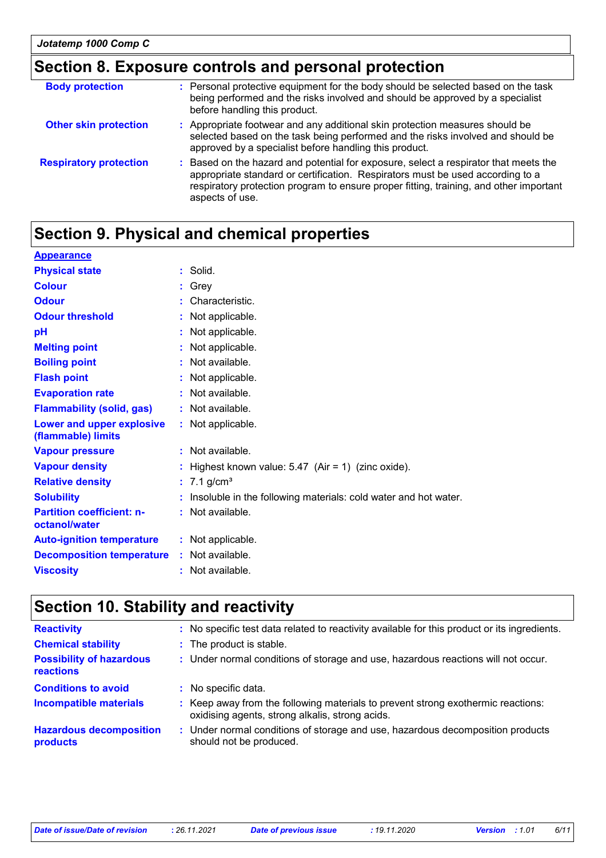# **Section 8. Exposure controls and personal protection**

| <b>Body protection</b>        | Personal protective equipment for the body should be selected based on the task<br>being performed and the risks involved and should be approved by a specialist<br>before handling this product.                                                                                 |
|-------------------------------|-----------------------------------------------------------------------------------------------------------------------------------------------------------------------------------------------------------------------------------------------------------------------------------|
| <b>Other skin protection</b>  | : Appropriate footwear and any additional skin protection measures should be<br>selected based on the task being performed and the risks involved and should be<br>approved by a specialist before handling this product.                                                         |
| <b>Respiratory protection</b> | Based on the hazard and potential for exposure, select a respirator that meets the<br>appropriate standard or certification. Respirators must be used according to a<br>respiratory protection program to ensure proper fitting, training, and other important<br>aspects of use. |

# **Section 9. Physical and chemical properties**

| <b>Appearance</b>                                 |                                                                   |
|---------------------------------------------------|-------------------------------------------------------------------|
| <b>Physical state</b>                             | $:$ Solid.                                                        |
| <b>Colour</b>                                     | $:$ Grey                                                          |
| <b>Odour</b>                                      | : Characteristic.                                                 |
| <b>Odour threshold</b>                            | : Not applicable.                                                 |
| pH                                                | : Not applicable.                                                 |
| <b>Melting point</b>                              | : Not applicable.                                                 |
| <b>Boiling point</b>                              | : Not available.                                                  |
| <b>Flash point</b>                                | : Not applicable.                                                 |
| <b>Evaporation rate</b>                           | : Not available.                                                  |
| <b>Flammability (solid, gas)</b>                  | : Not available.                                                  |
| Lower and upper explosive<br>(flammable) limits   | : Not applicable.                                                 |
| <b>Vapour pressure</b>                            | : Not available.                                                  |
| <b>Vapour density</b>                             | : Highest known value: $5.47$ (Air = 1) (zinc oxide).             |
| <b>Relative density</b>                           | : $7.1$ g/cm <sup>3</sup>                                         |
| <b>Solubility</b>                                 | : Insoluble in the following materials: cold water and hot water. |
| <b>Partition coefficient: n-</b><br>octanol/water | : Not available.                                                  |
| <b>Auto-ignition temperature</b>                  | : Not applicable.                                                 |
| <b>Decomposition temperature</b>                  | : Not available.                                                  |
| <b>Viscosity</b>                                  | : Not available.                                                  |
|                                                   |                                                                   |

# **Section 10. Stability and reactivity**

| <b>Reactivity</b>                            | : No specific test data related to reactivity available for this product or its ingredients.                                        |
|----------------------------------------------|-------------------------------------------------------------------------------------------------------------------------------------|
| <b>Chemical stability</b>                    | : The product is stable.                                                                                                            |
| <b>Possibility of hazardous</b><br>reactions | : Under normal conditions of storage and use, hazardous reactions will not occur.                                                   |
| <b>Conditions to avoid</b>                   | : No specific data.                                                                                                                 |
| <b>Incompatible materials</b>                | : Keep away from the following materials to prevent strong exothermic reactions:<br>oxidising agents, strong alkalis, strong acids. |
| <b>Hazardous decomposition</b><br>products   | : Under normal conditions of storage and use, hazardous decomposition products<br>should not be produced.                           |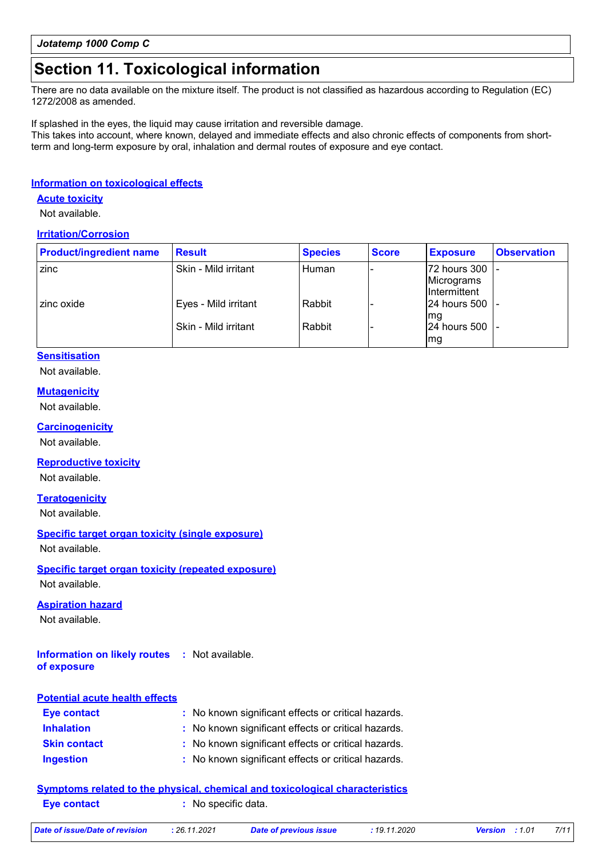## **Section 11. Toxicological information**

There are no data available on the mixture itself. The product is not classified as hazardous according to Regulation (EC) 1272/2008 as amended.

If splashed in the eyes, the liquid may cause irritation and reversible damage.

This takes into account, where known, delayed and immediate effects and also chronic effects of components from shortterm and long-term exposure by oral, inhalation and dermal routes of exposure and eye contact.

#### **Information on toxicological effects**

#### **Acute toxicity**

Not available.

#### **Irritation/Corrosion**

| <b>Product/ingredient name</b> | <b>Result</b>        | <b>Species</b> | <b>Score</b> | <b>Exposure</b>                            | <b>Observation</b> |
|--------------------------------|----------------------|----------------|--------------|--------------------------------------------|--------------------|
| zinc                           | Skin - Mild irritant | Human          |              | 72 hours 300<br>Micrograms<br>Intermittent |                    |
| zinc oxide                     | Eyes - Mild irritant | Rabbit         |              | 24 hours 500<br>Ima                        |                    |
|                                | Skin - Mild irritant | Rabbit         |              | 24 hours 500<br> mg                        |                    |

#### **Sensitisation**

#### Not available.

**Mutagenicity**

#### Not available.

**Carcinogenicity**

Not available.

#### **Reproductive toxicity**

Not available.

#### **Teratogenicity**

Not available.

### **Specific target organ toxicity (single exposure)**

Not available.

#### **Specific target organ toxicity (repeated exposure)**

Not available.

#### **Aspiration hazard**

Not available.

#### **Information on likely routes :** Not available. **of exposure**

### **Inhalation :** No known significant effects or critical hazards. **Ingestion :** No known significant effects or critical hazards. **Skin contact :** No known significant effects or critical hazards. **Eye contact :** No known significant effects or critical hazards. **Potential acute health effects**

|             | Symptoms related to the physical, chemical and toxicological characteristics |  |
|-------------|------------------------------------------------------------------------------|--|
| Eye contact | : No specific data.                                                          |  |

|  | )ate of issue/Date of revision | : 26 |
|--|--------------------------------|------|
|  |                                |      |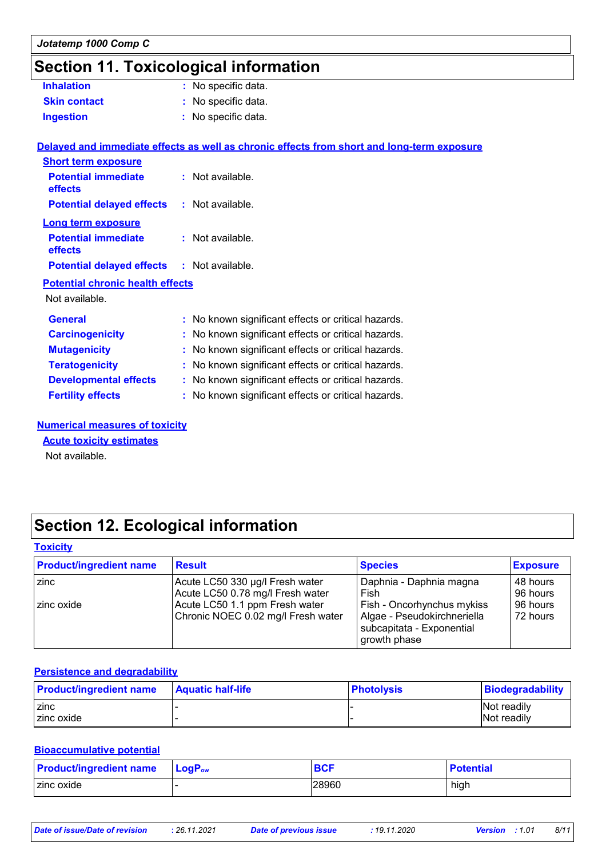# **Section 11. Toxicological information**

| <b>Inhalation</b>   | : No specific data. |
|---------------------|---------------------|
| <b>Skin contact</b> | : No specific data. |
| <b>Ingestion</b>    | : No specific data. |

#### **Delayed and immediate effects as well as chronic effects from short and long-term exposure**

| <b>Short term exposure</b>                        |    |                                                     |
|---------------------------------------------------|----|-----------------------------------------------------|
| <b>Potential immediate</b><br>effects             |    | : Not available.                                    |
| <b>Potential delayed effects : Not available.</b> |    |                                                     |
| <b>Long term exposure</b>                         |    |                                                     |
| <b>Potential immediate</b><br>effects             |    | : Not available.                                    |
| <b>Potential delayed effects : Not available.</b> |    |                                                     |
| <b>Potential chronic health effects</b>           |    |                                                     |
| Not available.                                    |    |                                                     |
| <b>General</b>                                    |    | : No known significant effects or critical hazards. |
| <b>Carcinogenicity</b>                            |    | : No known significant effects or critical hazards. |
| <b>Mutagenicity</b>                               |    | : No known significant effects or critical hazards. |
| <b>Teratogenicity</b>                             | ÷. | No known significant effects or critical hazards.   |
| <b>Developmental effects</b>                      |    | : No known significant effects or critical hazards. |
| <b>Fertility effects</b>                          |    | : No known significant effects or critical hazards. |

#### **Numerical measures of toxicity**

**Acute toxicity estimates**

Not available.

# **Section 12. Ecological information**

#### **Toxicity**

| <b>Product/ingredient name</b> | <b>Result</b>                      | <b>Species</b>                                                           | <b>Exposure</b> |
|--------------------------------|------------------------------------|--------------------------------------------------------------------------|-----------------|
| zinc                           | Acute LC50 330 µg/l Fresh water    | Daphnia - Daphnia magna                                                  | 48 hours        |
|                                | Acute LC50 0.78 mg/l Fresh water   | Fish                                                                     | 96 hours        |
| zinc oxide                     | Acute LC50 1.1 ppm Fresh water     | Fish - Oncorhynchus mykiss                                               | 96 hours        |
|                                | Chronic NOEC 0.02 mg/l Fresh water | Algae - Pseudokirchneriella<br>subcapitata - Exponential<br>growth phase | 72 hours        |

#### **Persistence and degradability**

| <b>Product/ingredient name</b> | <b>Aquatic half-life</b> | <b>Photolysis</b> | Biodegradability   |
|--------------------------------|--------------------------|-------------------|--------------------|
| <b>zinc</b>                    |                          |                   | <b>Not readily</b> |
| l zinc oxide                   |                          |                   | Not readily        |

#### **Bioaccumulative potential**

| <b>Product/ingredient name</b> | $\mathsf{LocP}_\mathsf{ow}$ | <b>BCF</b> | <b>Potential</b> |
|--------------------------------|-----------------------------|------------|------------------|
| zinc oxide                     |                             | 28960      | high             |

| Date of issue/Date of revision | . 26.11.2021 | <b>Date of previous issue</b> | : 19.11.2020 | <b>Version</b> : 1.01 | 8/11 |
|--------------------------------|--------------|-------------------------------|--------------|-----------------------|------|
|                                |              |                               |              |                       |      |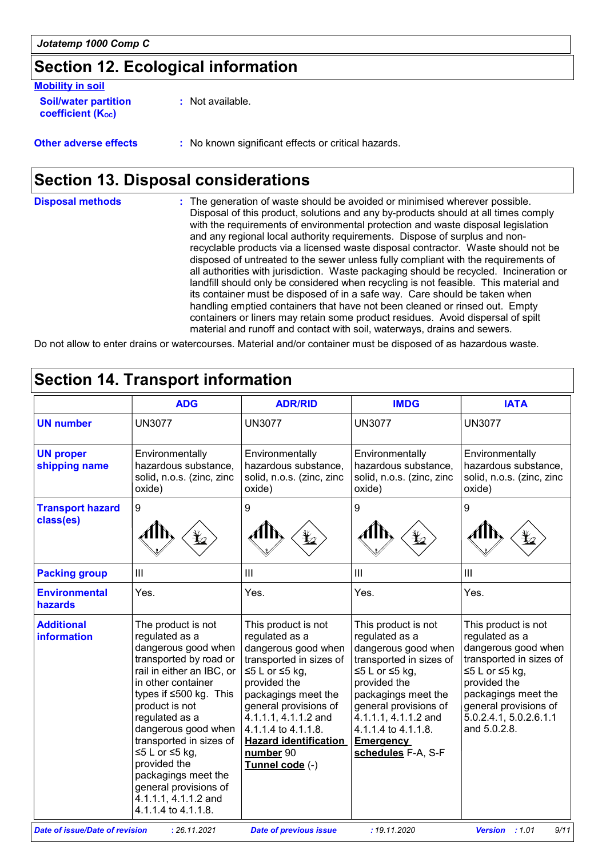# **Section 12. Ecological information**

| <b>Mobility in soil</b>                                 |                                                     |
|---------------------------------------------------------|-----------------------------------------------------|
| <b>Soil/water partition</b><br><b>coefficient (Koc)</b> | : Not available.                                    |
| <b>Other adverse effects</b>                            | : No known significant effects or critical hazards. |

# **Section 13. Disposal considerations**

| <b>Disposal methods</b> | : The generation of waste should be avoided or minimised wherever possible.<br>Disposal of this product, solutions and any by-products should at all times comply<br>with the requirements of environmental protection and waste disposal legislation<br>and any regional local authority requirements. Dispose of surplus and non-<br>recyclable products via a licensed waste disposal contractor. Waste should not be<br>disposed of untreated to the sewer unless fully compliant with the requirements of<br>all authorities with jurisdiction. Waste packaging should be recycled. Incineration or |
|-------------------------|----------------------------------------------------------------------------------------------------------------------------------------------------------------------------------------------------------------------------------------------------------------------------------------------------------------------------------------------------------------------------------------------------------------------------------------------------------------------------------------------------------------------------------------------------------------------------------------------------------|
|                         | landfill should only be considered when recycling is not feasible. This material and<br>its container must be disposed of in a safe way. Care should be taken when<br>handling emptied containers that have not been cleaned or rinsed out. Empty                                                                                                                                                                                                                                                                                                                                                        |
|                         | containers or liners may retain some product residues. Avoid dispersal of spilt<br>material and runoff and contact with soil, waterways, drains and sewers.                                                                                                                                                                                                                                                                                                                                                                                                                                              |

Do not allow to enter drains or watercourses. Material and/or container must be disposed of as hazardous waste.

| <b>Section 14. Transport information</b> |                                                                                                                                                                                                                                                                                                                                                                                           |                                                                                                                                                                                                                                                                                               |                                                                                                                                                                                                                                                                         |                                                                                                                                                                                                                     |
|------------------------------------------|-------------------------------------------------------------------------------------------------------------------------------------------------------------------------------------------------------------------------------------------------------------------------------------------------------------------------------------------------------------------------------------------|-----------------------------------------------------------------------------------------------------------------------------------------------------------------------------------------------------------------------------------------------------------------------------------------------|-------------------------------------------------------------------------------------------------------------------------------------------------------------------------------------------------------------------------------------------------------------------------|---------------------------------------------------------------------------------------------------------------------------------------------------------------------------------------------------------------------|
|                                          | <b>ADG</b>                                                                                                                                                                                                                                                                                                                                                                                | <b>ADR/RID</b>                                                                                                                                                                                                                                                                                | <b>IMDG</b>                                                                                                                                                                                                                                                             | <b>IATA</b>                                                                                                                                                                                                         |
| <b>UN number</b>                         | <b>UN3077</b>                                                                                                                                                                                                                                                                                                                                                                             | <b>UN3077</b>                                                                                                                                                                                                                                                                                 | <b>UN3077</b>                                                                                                                                                                                                                                                           | <b>UN3077</b>                                                                                                                                                                                                       |
| <b>UN proper</b><br>shipping name        | Environmentally<br>hazardous substance,<br>solid, n.o.s. (zinc, zinc<br>oxide)                                                                                                                                                                                                                                                                                                            | Environmentally<br>hazardous substance,<br>solid, n.o.s. (zinc, zinc<br>oxide)                                                                                                                                                                                                                | Environmentally<br>hazardous substance,<br>solid, n.o.s. (zinc, zinc<br>oxide)                                                                                                                                                                                          | Environmentally<br>hazardous substance,<br>solid, n.o.s. (zinc, zinc<br>oxide)                                                                                                                                      |
| <b>Transport hazard</b><br>class(es)     | 9                                                                                                                                                                                                                                                                                                                                                                                         | 9                                                                                                                                                                                                                                                                                             | $\boldsymbol{9}$                                                                                                                                                                                                                                                        | 9                                                                                                                                                                                                                   |
| <b>Packing group</b>                     | $\mathbf{III}$                                                                                                                                                                                                                                                                                                                                                                            | III                                                                                                                                                                                                                                                                                           | III                                                                                                                                                                                                                                                                     | III                                                                                                                                                                                                                 |
| <b>Environmental</b><br>hazards          | Yes.                                                                                                                                                                                                                                                                                                                                                                                      | Yes.                                                                                                                                                                                                                                                                                          | Yes.                                                                                                                                                                                                                                                                    | Yes.                                                                                                                                                                                                                |
| <b>Additional</b><br><b>information</b>  | The product is not<br>regulated as a<br>dangerous good when<br>transported by road or<br>rail in either an IBC, or<br>in other container<br>types if ≤500 kg. This<br>product is not<br>regulated as a<br>dangerous good when<br>transported in sizes of<br>≤5 L or ≤5 kg,<br>provided the<br>packagings meet the<br>general provisions of<br>4.1.1.1, 4.1.1.2 and<br>4.1.1.4 to 4.1.1.8. | This product is not<br>regulated as a<br>dangerous good when<br>transported in sizes of<br>$≤5 L$ or $≤5 kg$ ,<br>provided the<br>packagings meet the<br>general provisions of<br>4.1.1.1, 4.1.1.2 and<br>4.1.1.4 to 4.1.1.8.<br><b>Hazard identification</b><br>number 90<br>Tunnel code (-) | This product is not<br>regulated as a<br>dangerous good when<br>transported in sizes of<br>$≤5 L$ or $≤5 kg$ ,<br>provided the<br>packagings meet the<br>general provisions of<br>4.1.1.1, 4.1.1.2 and<br>4.1.1.4 to 4.1.1.8.<br><b>Emergency</b><br>schedules F-A, S-F | This product is not<br>regulated as a<br>dangerous good when<br>transported in sizes of<br>≤5 L or ≤5 kg,<br>provided the<br>packagings meet the<br>general provisions of<br>5.0.2.4.1, 5.0.2.6.1.1<br>and 5.0.2.8. |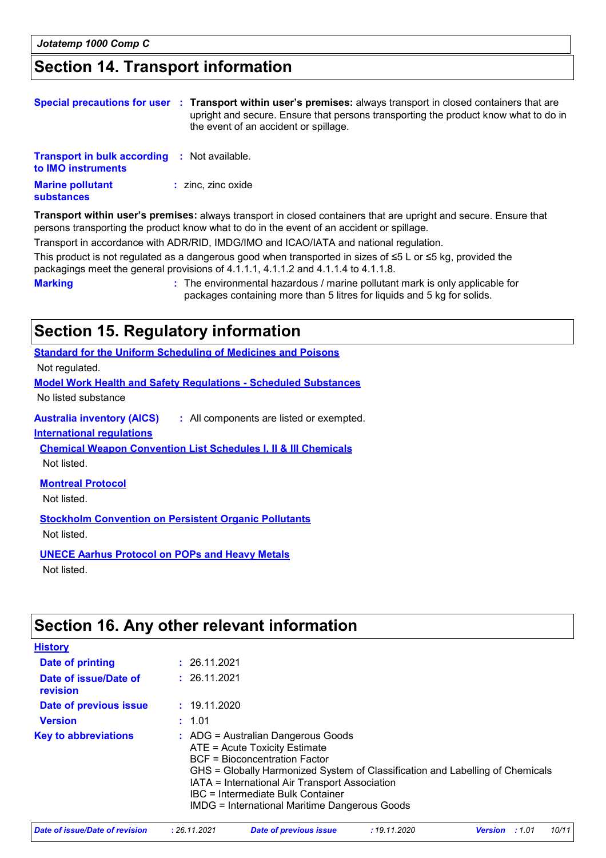# **Section 14. Transport information**

|                                                                           | Special precautions for user : Transport within user's premises: always transport in closed containers that are<br>upright and secure. Ensure that persons transporting the product know what to do in<br>the event of an accident or spillage.                                                        |
|---------------------------------------------------------------------------|--------------------------------------------------------------------------------------------------------------------------------------------------------------------------------------------------------------------------------------------------------------------------------------------------------|
| <b>Transport in bulk according : Not available.</b><br>to IMO instruments |                                                                                                                                                                                                                                                                                                        |
| <b>Marine pollutant</b><br>substances                                     | $:$ zinc, zinc oxide                                                                                                                                                                                                                                                                                   |
|                                                                           | Transport within user's premises: always transport in closed containers that are upright and secure. Ensure that<br>persons transporting the product know what to do in the event of an accident or spillage.<br>Transport in accordance with ADR/RID, IMDG/IMO and ICAO/IATA and national regulation. |

This product is not regulated as a dangerous good when transported in sizes of ≤5 L or ≤5 kg, provided the packagings meet the general provisions of 4.1.1.1, 4.1.1.2 and 4.1.1.4 to 4.1.1.8.

**Marking :** The environmental hazardous / marine pollutant mark is only applicable for packages containing more than 5 litres for liquids and 5 kg for solids.

### **Section 15. Regulatory information**

**Australia inventory (AICS) :** All components are listed or exempted. **Standard for the Uniform Scheduling of Medicines and Poisons Model Work Health and Safety Regulations - Scheduled Substances** No listed substance Not regulated. **International regulations Montreal Protocol** Not listed. **Stockholm Convention on Persistent Organic Pollutants** Not listed. **Chemical Weapon Convention List Schedules I, II & III Chemicals** Not listed.

**UNECE Aarhus Protocol on POPs and Heavy Metals** Not listed.

## **Section 16. Any other relevant information**

| <b>History</b>                    |                                                                                                                                                                                                                                                                                                                                                        |
|-----------------------------------|--------------------------------------------------------------------------------------------------------------------------------------------------------------------------------------------------------------------------------------------------------------------------------------------------------------------------------------------------------|
| Date of printing                  | : 26.11.2021                                                                                                                                                                                                                                                                                                                                           |
| Date of issue/Date of<br>revision | : 26.11.2021                                                                                                                                                                                                                                                                                                                                           |
| Date of previous issue            | : 19.11.2020                                                                                                                                                                                                                                                                                                                                           |
| <b>Version</b>                    | : 1.01                                                                                                                                                                                                                                                                                                                                                 |
| <b>Key to abbreviations</b>       | $\therefore$ ADG = Australian Dangerous Goods<br>ATE = Acute Toxicity Estimate<br><b>BCF</b> = Bioconcentration Factor<br>GHS = Globally Harmonized System of Classification and Labelling of Chemicals<br>IATA = International Air Transport Association<br>IBC = Intermediate Bulk Container<br><b>IMDG = International Maritime Dangerous Goods</b> |